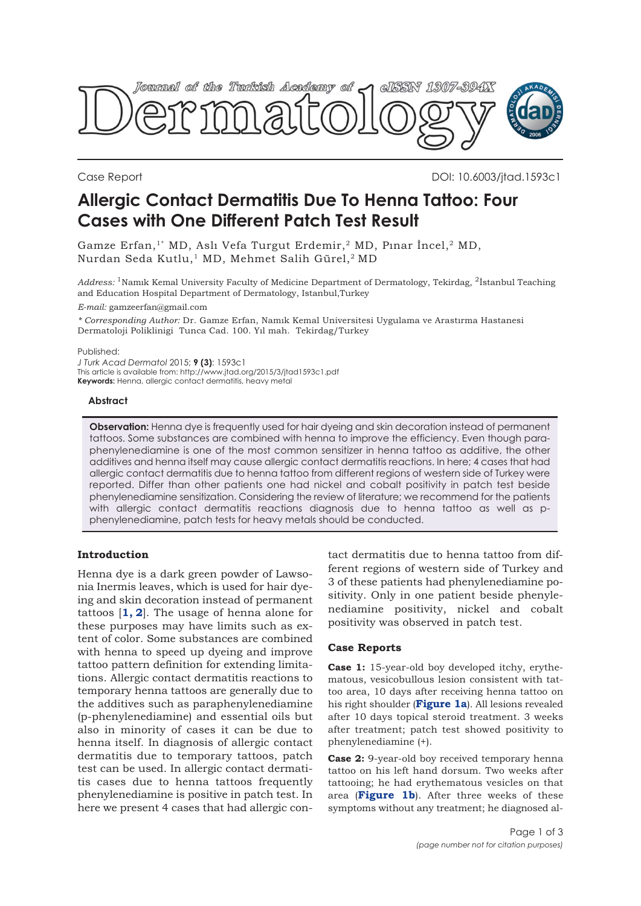

Case Report DOI: 10.6003/jtad.1593c1

# **Allergic Contact Dermatitis Due To Henna Tattoo: Four Cases with One Different Patch Test Result**

Gamze Erfan,<sup>1\*</sup> MD, Aslı Vefa Turgut Erdemir,<sup>2</sup> MD, Pınar İncel,<sup>2</sup> MD, Nurdan Seda Kutlu,<sup>1</sup> MD, Mehmet Salih Gürel,<sup>2</sup> MD

*Address:* 1Namık Kemal University Faculty of Medicine Department of Dermatology, Tekirdag, 2İstanbul Teaching and Education Hospital Department of Dermatology, Istanbul,Turkey *E-mail:* gamzeerfan@gmail.com

*\* Corresponding Author:* Dr. Gamze Erfan, Namık Kemal Universitesi Uygulama ve Arastırma Hastanesi Dermatoloji Poliklinigi Tunca Cad. 100. Yıl mah. Tekirdag/Turkey

#### Published:

*J Turk Acad Dermatol* 2015; **9 (3)**: 1593c1 This article is available from: http://www.jtad.org/2015/3/jtad1593c1.pdf **Keywords:** Henna, allergic contact dermatitis, heavy metal

#### **Abstract**

**Observation:** Henna dye is frequently used for hair dyeing and skin decoration instead of permanent tattoos. Some substances are combined with henna to improve the efficiency. Even though paraphenylenediamine is one of the most common sensitizer in henna tattoo as additive, the other additives and henna itself may cause allergic contact dermatitis reactions. In here; 4 cases that had allergic contact dermatitis due to henna tattoo from different regions of western side of Turkey were reported. Differ than other patients one had nickel and cobalt positivity in patch test beside phenylenediamine sensitization. Considering the review of literature; we recommend for the patients with allergic contact dermatitis reactions diagnosis due to henna tattoo as well as pphenylenediamine, patch tests for heavy metals should be conducted.

# **Introduction**

Henna dye is a dark green powder of Lawsonia Inermis leaves, which is used for hair dyeing and skin decoration instead of permanent tattoos [**[1, 2](#page-2-0)**]. The usage of henna alone for these purposes may have limits such as extent of color. Some substances are combined with henna to speed up dyeing and improve tattoo pattern definition for extending limitations. Allergic contact dermatitis reactions to temporary henna tattoos are generally due to the additives such as paraphenylenediamine (p-phenylenediamine) and essential oils but also in minority of cases it can be due to henna itself. In diagnosis of allergic contact dermatitis due to temporary tattoos, patch test can be used. In allergic contact dermatitis cases due to henna tattoos frequently phenylenediamine is positive in patch test. In here we present 4 cases that had allergic contact dermatitis due to henna tattoo from different regions of western side of Turkey and 3 of these patients had phenylenediamine positivity. Only in one patient beside phenylenediamine positivity, nickel and cobalt positivity was observed in patch test.

# **Case Reports**

**Case 1:** 15-year-old boy developed itchy, erythematous, vesicobullous lesion consistent with tattoo area, 10 days after receiving henna tattoo on his right shoulder (**[Figure 1a](#page-1-0)**). All lesions revealed after 10 days topical steroid treatment. 3 weeks after treatment; patch test showed positivity to phenylenediamine (+).

**Case 2:** 9-year-old boy received temporary henna tattoo on his left hand dorsum. Two weeks after tattooing; he had erythematous vesicles on that area (**[Figure 1b](#page-1-0)**). After three weeks of these symptoms without any treatment; he diagnosed al-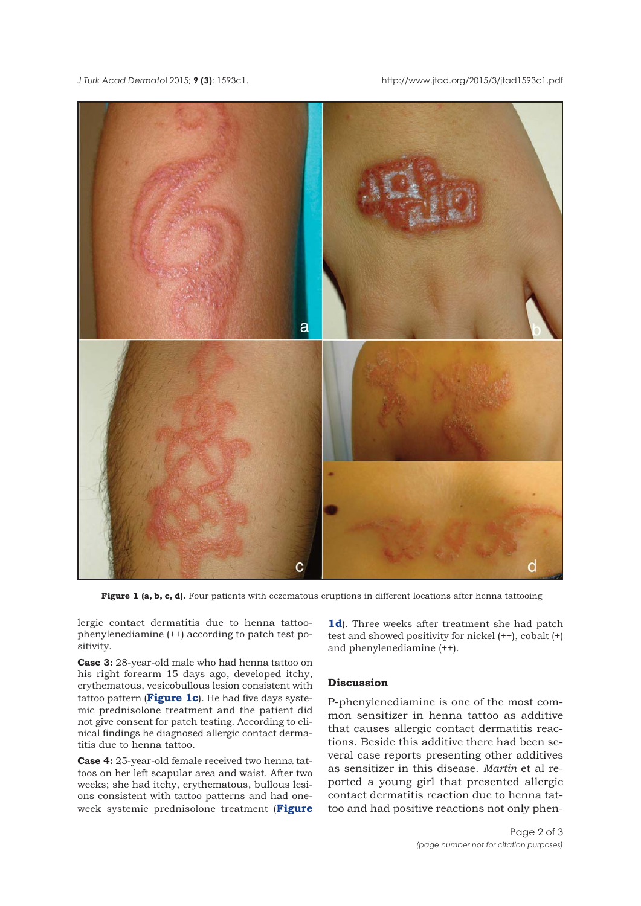<span id="page-1-0"></span>*J Turk Acad Dermato*l 2015; **9 (3)**: 1593c1. http://www.jtad.org/2015/3/jtad1593c1.pdf



**Figure 1 (a, b, c, d).** Four patients with eczematous eruptions in different locations after henna tattooing

lergic contact dermatitis due to henna tattoophenylenediamine (++) according to patch test positivity.

**Case 3:** 28-year-old male who had henna tattoo on his right forearm 15 days ago, developed itchy, erythematous, vesicobullous lesion consistent with tattoo pattern (**Figure 1c**). He had five days systemic prednisolone treatment and the patient did not give consent for patch testing. According to clinical findings he diagnosed allergic contact dermatitis due to henna tattoo.

**Case 4:** 25-year-old female received two henna tattoos on her left scapular area and waist. After two weeks; she had itchy, erythematous, bullous lesions consistent with tattoo patterns and had oneweek systemic prednisolone treatment (**Figure**

**1d**). Three weeks after treatment she had patch test and showed positivity for nickel (++), cobalt (+) and phenylenediamine (++).

## **Discussion**

P-phenylenediamine is one of the most common sensitizer in henna tattoo as additive that causes allergic contact dermatitis reactions. Beside this additive there had been several case reports presenting other additives as sensitizer in this disease. *Martin* et al reported a young girl that presented allergic contact dermatitis reaction due to henna tattoo and had positive reactions not only phen